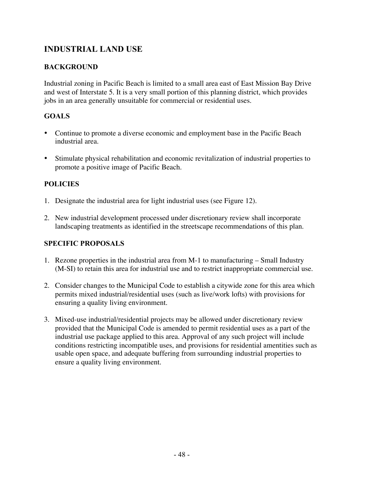## **INDUSTRIAL LAND USE**

#### **BACKGROUND**

Industrial zoning in Pacific Beach is limited to a small area east of East Mission Bay Drive and west of Interstate 5. It is a very small portion of this planning district, which provides jobs in an area generally unsuitable for commercial or residential uses.

### **GOALS**

- Continue to promote a diverse economic and employment base in the Pacific Beach industrial area.
- Stimulate physical rehabilitation and economic revitalization of industrial properties to promote a positive image of Pacific Beach.

#### **POLICIES**

- 1. Designate the industrial area for light industrial uses (see Figure 12).
- 2. New industrial development processed under discretionary review shall incorporate landscaping treatments as identified in the streetscape recommendations of this plan.

#### **SPECIFIC PROPOSALS**

- 1. Rezone properties in the industrial area from M-1 to manufacturing Small Industry (M-SI) to retain this area for industrial use and to restrict inappropriate commercial use.
- 2. Consider changes to the Municipal Code to establish a citywide zone for this area which permits mixed industrial/residential uses (such as live/work lofts) with provisions for ensuring a quality living environment.
- 3. Mixed-use industrial/residential projects may be allowed under discretionary review provided that the Municipal Code is amended to permit residential uses as a part of the industrial use package applied to this area. Approval of any such project will include conditions restricting incompatible uses, and provisions for residential amentities such as usable open space, and adequate buffering from surrounding industrial properties to ensure a quality living environment.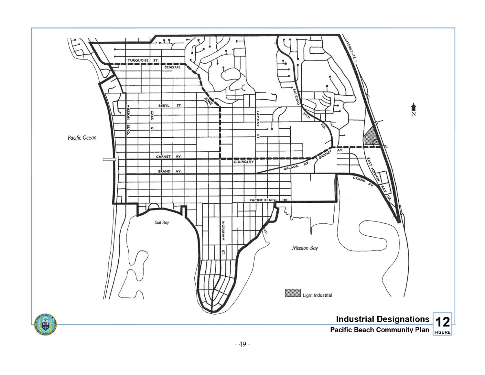